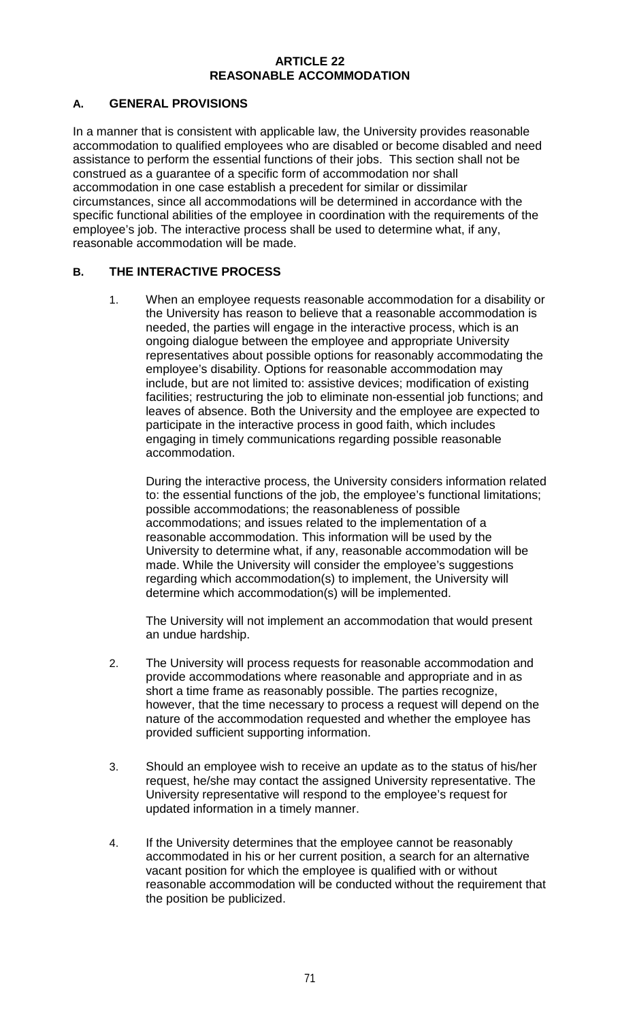#### **ARTICLE 22 REASONABLE ACCOMMODATION**

## **A. GENERAL PROVISIONS**

In a manner that is consistent with applicable law, the University provides reasonable accommodation to qualified employees who are disabled or become disabled and need assistance to perform the essential functions of their jobs. This section shall not be construed as a guarantee of a specific form of accommodation nor shall accommodation in one case establish a precedent for similar or dissimilar circumstances, since all accommodations will be determined in accordance with the specific functional abilities of the employee in coordination with the requirements of the employee's job. The interactive process shall be used to determine what, if any, reasonable accommodation will be made.

## **B. THE INTERACTIVE PROCESS**

1. When an employee requests reasonable accommodation for a disability or the University has reason to believe that a reasonable accommodation is needed, the parties will engage in the interactive process, which is an ongoing dialogue between the employee and appropriate University representatives about possible options for reasonably accommodating the employee's disability. Options for reasonable accommodation may include, but are not limited to: assistive devices; modification of existing facilities; restructuring the job to eliminate non-essential job functions; and leaves of absence. Both the University and the employee are expected to participate in the interactive process in good faith, which includes engaging in timely communications regarding possible reasonable accommodation.

During the interactive process, the University considers information related to: the essential functions of the job, the employee's functional limitations; possible accommodations; the reasonableness of possible accommodations; and issues related to the implementation of a reasonable accommodation. This information will be used by the University to determine what, if any, reasonable accommodation will be made. While the University will consider the employee's suggestions regarding which accommodation(s) to implement, the University will determine which accommodation(s) will be implemented.

The University will not implement an accommodation that would present an undue hardship.

- 2. The University will process requests for reasonable accommodation and provide accommodations where reasonable and appropriate and in as short a time frame as reasonably possible. The parties recognize, however, that the time necessary to process a request will depend on the nature of the accommodation requested and whether the employee has provided sufficient supporting information.
- 3. Should an employee wish to receive an update as to the status of his/her request, he/she may contact the assigned University representative. The University representative will respond to the employee's request for updated information in a timely manner.
- 4. If the University determines that the employee cannot be reasonably accommodated in his or her current position, a search for an alternative vacant position for which the employee is qualified with or without reasonable accommodation will be conducted without the requirement that the position be publicized.